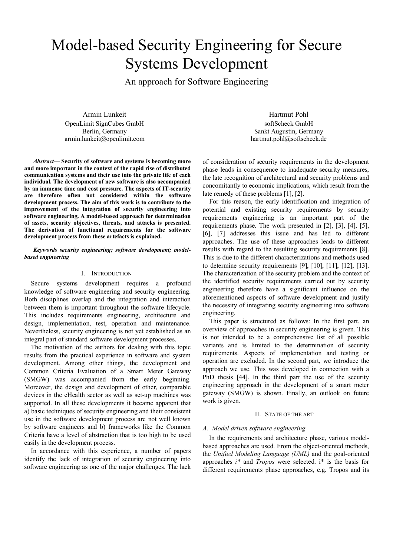# Model-based Security Engineering for Secure Systems Development

An approach for Software Engineering

Armin Lunkeit OpenLimit SignCubes GmbH Berlin, Germany armin.lunkeit@openlimit.com

*Abstract***— Security of software and systems is becoming more and more important in the context of the rapid rise of distributed communication systems and their use into the private life of each individual. The development of new software is also accompanied by an immense time and cost pressure. The aspects of IT-security are therefore often not considered within the software development process. The aim of this work is to contribute to the improvement of the integration of security engineering into software engineering. A model-based approach for determination of assets, security objectives, threats, and attacks is presented. The derivation of functional requirements for the software development process from these artefacts is explained.** 

*Keywords security engineering; software development; modelbased engineering* 

# I. INTRODUCTION

Secure systems development requires a profound knowledge of software engineering and security engineering. Both disciplines overlap and the integration and interaction between them is important throughout the software lifecycle. This includes requirements engineering, architecture and design, implementation, test, operation and maintenance. Nevertheless, security engineering is not yet established as an integral part of standard software development processes.

The motivation of the authors for dealing with this topic results from the practical experience in software and system development. Among other things, the development and Common Criteria Evaluation of a Smart Meter Gateway (SMGW) was accompanied from the early beginning. Moreover, the design and development of other, comparable devices in the eHealth sector as well as set-up machines was supported. In all these developments it became apparent that a) basic techniques of security engineering and their consistent use in the software development process are not well known by software engineers and b) frameworks like the Common Criteria have a level of abstraction that is too high to be used easily in the development process.

In accordance with this experience, a number of papers identify the lack of integration of security engineering into software engineering as one of the major challenges. The lack

Hartmut Pohl softScheck GmbH Sankt Augustin, Germany hartmut.pohl@softscheck.de

of consideration of security requirements in the development phase leads in consequence to inadequate security measures, the late recognition of architectural and security problems and concomitantly to economic implications, which result from the late remedy of these problems [1], [2].

For this reason, the early identification and integration of potential and existing security requirements by security requirements engineering is an important part of the requirements phase. The work presented in [2], [3], [4], [5], [6], [7] addresses this issue and has led to different approaches. The use of these approaches leads to different results with regard to the resulting security requirements [8]. This is due to the different characterizations and methods used to determine security requirements [9], [10], [11], [12], [13]. The characterization of the security problem and the context of the identified security requirements carried out by security engineering therefore have a significant influence on the aforementioned aspects of software development and justify the necessity of integrating security engineering into software engineering.

This paper is structured as follows: In the first part, an overview of approaches in security engineering is given. This is not intended to be a comprehensive list of all possible variants and is limited to the determination of security requirements. Aspects of implementation and testing or operation are excluded. In the second part, we introduce the approach we use. This was developed in connection with a PhD thesis [44]. In the third part the use of the security engineering approach in the development of a smart meter gateway (SMGW) is shown. Finally, an outlook on future work is given.

## II. STATE OF THE ART

#### *A. Model driven software engineering*

In the requirements and architecture phase, various modelbased approaches are used. From the object-oriented methods, the *Unified Modeling Language (UML)* and the goal-oriented approaches *i\** and *Tropos* were selected. i\* is the basis for different requirements phase approaches, e.g. Tropos and its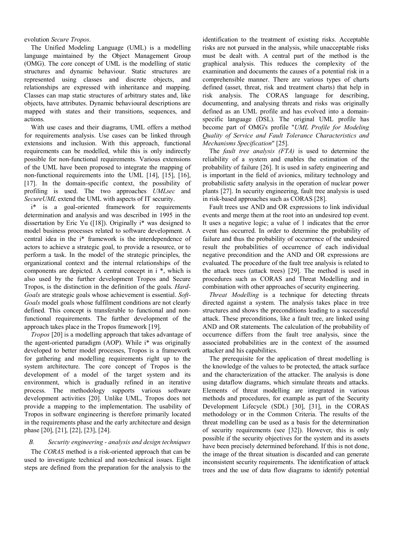evolution *Secure Tropos*.

The Unified Modeling Language (UML) is a modelling language maintained by the Object Management Group (OMG). The core concept of UML is the modelling of static structures and dynamic behaviour. Static structures are represented using classes and discrete objects, and relationships are expressed with inheritance and mapping. Classes can map static structures of arbitrary states and, like objects, have attributes. Dynamic behavioural descriptions are mapped with states and their transitions, sequences, and actions.

With use cases and their diagrams, UML offers a method for requirements analysis. Use cases can be linked through extensions and inclusion. With this approach, functional requirements can be modelled, while this is only indirectly possible for non-functional requirements. Various extensions of the UML have been proposed to integrate the mapping of non-functional requirements into the UML [14], [15], [16], [17]. In the domain-specific context, the possibility of profiling is used. The two approaches *UMLsec* and *SecureUML* extend the UML with aspects of IT security.

i\* is a goal-oriented framework for requirements determination and analysis and was described in 1995 in the dissertation by Eric Yu ([18]). Originally i\* was designed to model business processes related to software development. A central idea in the i\* framework is the interdependence of actors to achieve a strategic goal, to provide a resource, or to perform a task. In the model of the strategic principles, the organizational context and the internal relationships of the components are depicted. A central concept in i \*, which is also used by the further development Tropos and Secure Tropos, is the distinction in the definition of the goals. *Hard-Goals* are strategic goals whose achievement is essential. *Soft-Goals* model goals whose fulfilment conditions are not clearly defined. This concept is transferable to functional and nonfunctional requirements. The further development of the approach takes place in the Tropos framework [19].

*Tropos* [20] is a modelling approach that takes advantage of the agent-oriented paradigm (AOP). While i\* was originally developed to better model processes, Tropos is a framework for gathering and modelling requirements right up to the system architecture. The core concept of Tropos is the development of a model of the target system and its environment, which is gradually refined in an iterative process. The methodology supports various software development activities [20]. Unlike UML, Tropos does not provide a mapping to the implementation. The usability of Tropos in software engineering is therefore primarily located in the requirements phase and the early architecture and design phase [20], [21], [22], [23], [24].

# *B. Security engineering - analysis and design techniques*

The *CORAS* method is a risk-oriented approach that can be used to investigate technical and non-technical issues. Eight steps are defined from the preparation for the analysis to the

identification to the treatment of existing risks. Acceptable risks are not pursued in the analysis, while unacceptable risks must be dealt with. A central part of the method is the graphical analysis. This reduces the complexity of the examination and documents the causes of a potential risk in a comprehensible manner. There are various types of charts defined (asset, threat, risk and treatment charts) that help in risk analysis. The CORAS language for describing, documenting, and analysing threats and risks was originally defined as an UML profile and has evolved into a domainspecific language (DSL). The original UML profile has become part of OMG's profile "*UML Profile for Modeling Quality of Service and Fault Tolerance Characteristics and Mechanisms Specification*" [25].

The *fault tree analysis (FTA)* is used to determine the reliability of a system and enables the estimation of the probability of failure [26]. It is used in safety engineering and is important in the field of avionics, military technology and probabilistic safety analysis in the operation of nuclear power plants [27]. In security engineering, fault tree analysis is used in risk-based approaches such as CORAS [28].

Fault trees use AND and OR expressions to link individual events and merge them at the root into an undesired top event. It uses a negative logic; a value of 1 indicates that the error event has occurred. In order to determine the probability of failure and thus the probability of occurrence of the undesired result the probabilities of occurrence of each individual negative precondition and the AND and OR expressions are evaluated. The procedure of the fault tree analysis is related to the attack trees (attack trees) [29]. The method is used in procedures such as CORAS and Threat Modelling and in combination with other approaches of security engineering.

*Threat Modelling* is a technique for detecting threats directed against a system. The analysis takes place in tree structures and shows the preconditions leading to a successful attack. These preconditions, like a fault tree, are linked using AND and OR statements. The calculation of the probability of occurrence differs from the fault tree analysis, since the associated probabilities are in the context of the assumed attacker and his capabilities.

The prerequisite for the application of threat modelling is the knowledge of the values to be protected, the attack surface and the characterization of the attacker. The analysis is done using dataflow diagrams, which simulate threats and attacks. Elements of threat modelling are integrated in various methods and procedures, for example as part of the Security Development Lifecycle (SDL) [30], [31], in the CORAS methodology or in the Common Criteria. The results of the threat modelling can be used as a basis for the determination of security requirements (see [32]). However, this is only possible if the security objectives for the system and its assets have been precisely determined beforehand. If this is not done, the image of the threat situation is discarded and can generate inconsistent security requirements. The identification of attack trees and the use of data flow diagrams to identify potential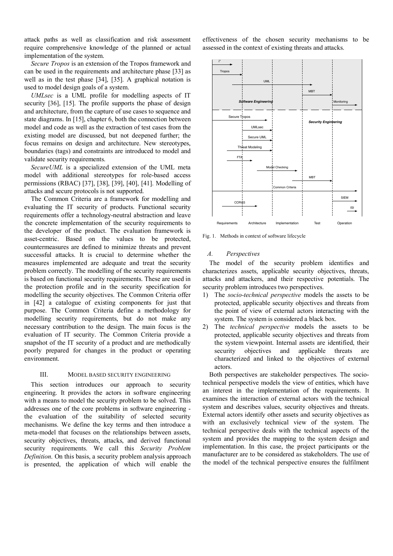attack paths as well as classification and risk assessment require comprehensive knowledge of the planned or actual implementation of the system.

*Secure Tropos* is an extension of the Tropos framework and can be used in the requirements and architecture phase [33] as well as in the test phase [34], [35]. A graphical notation is used to model design goals of a system.

*UMLsec* is a UML profile for modelling aspects of IT security [36], [15]. The profile supports the phase of design and architecture, from the capture of use cases to sequence and state diagrams. In [15], chapter 6, both the connection between model and code as well as the extraction of test cases from the existing model are discussed, but not deepened further; the focus remains on design and architecture. New stereotypes, boundaries (tags) and constraints are introduced to model and validate security requirements.

*SecureUML* is a specialized extension of the UML meta model with additional stereotypes for role-based access permissions (RBAC) [37], [38], [39], [40], [41]. Modelling of attacks and secure protocols is not supported.

The Common Criteria are a framework for modelling and evaluating the IT security of products. Functional security requirements offer a technology-neutral abstraction and leave the concrete implementation of the security requirements to the developer of the product. The evaluation framework is asset-centric. Based on the values to be protected, countermeasures are defined to minimize threats and prevent successful attacks. It is crucial to determine whether the measures implemented are adequate and treat the security problem correctly. The modelling of the security requirements is based on functional security requirements. These are used in the protection profile and in the security specification for modelling the security objectives. The Common Criteria offer in [42] a catalogue of existing components for just that purpose. The Common Criteria define a methodology for modelling security requirements, but do not make any necessary contribution to the design. The main focus is the evaluation of IT security. The Common Criteria provide a snapshot of the IT security of a product and are methodically poorly prepared for changes in the product or operating environment.

# III. MODEL BASED SECURITY ENGINEERING

This section introduces our approach to security engineering. It provides the actors in software engineering with a means to model the security problem to be solved. This addresses one of the core problems in software engineering the evaluation of the suitability of selected security mechanisms. We define the key terms and then introduce a meta-model that focuses on the relationships between assets, security objectives, threats, attacks, and derived functional security requirements. We call this *Security Problem Definition*. On this basis, a security problem analysis approach is presented, the application of which will enable the effectiveness of the chosen security mechanisms to be assessed in the context of existing threats and attacks.



Fig. 1. Methods in context of software lifecycle

#### *A. Perspectives*

The model of the security problem identifies and characterizes assets, applicable security objectives, threats, attacks and attackers, and their respective potentials. The security problem introduces two perspectives.

- 1) The *socio-technical perspective* models the assets to be protected, applicable security objectives and threats from the point of view of external actors interacting with the system. The system is considered a black box.
- 2) The *technical perspective* models the assets to be protected, applicable security objectives and threats from the system viewpoint. Internal assets are identified, their security objectives and applicable threats are characterized and linked to the objectives of external actors.

Both perspectives are stakeholder perspectives. The sociotechnical perspective models the view of entities, which have an interest in the implementation of the requirements. It examines the interaction of external actors with the technical system and describes values, security objectives and threats. External actors identify other assets and security objectives as with an exclusively technical view of the system. The technical perspective deals with the technical aspects of the system and provides the mapping to the system design and implementation. In this case, the project participants or the manufacturer are to be considered as stakeholders. The use of the model of the technical perspective ensures the fulfilment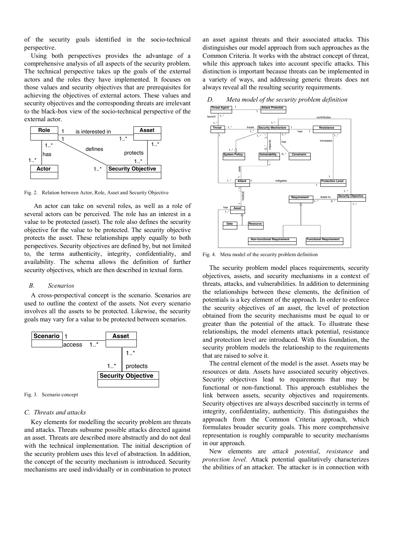of the security goals identified in the socio-technical perspective.

Using both perspectives provides the advantage of a comprehensive analysis of all aspects of the security problem. The technical perspective takes up the goals of the external actors and the roles they have implemented. It focuses on those values and security objectives that are prerequisites for achieving the objectives of external actors. These values and security objectives and the corresponding threats are irrelevant to the black-box view of the socio-technical perspective of the external actor.



Fig. 2. Relation between Actor, Role, Asset and Security Objective

An actor can take on several roles, as well as a role of several actors can be perceived. The role has an interest in a value to be protected (asset). The role also defines the security objective for the value to be protected. The security objective protects the asset. These relationships apply equally to both perspectives. Security objectives are defined by, but not limited to, the terms authenticity, integrity, confidentiality, and availability. The schema allows the definition of further security objectives, which are then described in textual form.

## *B. Scenarios*

A cross-perspectival concept is the scenario. Scenarios are used to outline the context of the assets. Not every scenario involves all the assets to be protected. Likewise, the security goals may vary for a value to be protected between scenarios.



Fig. 3. Scenario concept

#### *C. Threats and attacks*

Key elements for modelling the security problem are threats and attacks. Threats subsume possible attacks directed against an asset. Threats are described more abstractly and do not deal with the technical implementation. The initial description of the security problem uses this level of abstraction. In addition, the concept of the security mechanism is introduced. Security mechanisms are used individually or in combination to protect an asset against threats and their associated attacks. This distinguishes our model approach from such approaches as the Common Criteria. It works with the abstract concept of threat, while this approach takes into account specific attacks. This distinction is important because threats can be implemented in a variety of ways, and addressing generic threats does not always reveal all the resulting security requirements.



*D. Meta model of the security problem definition* 

Fig. 4. Meta model of the security problem definition

The security problem model places requirements, security objectives, assets, and security mechanisms in a context of threats, attacks, and vulnerabilities. In addition to determining the relationships between these elements, the definition of potentials is a key element of the approach. In order to enforce the security objectives of an asset, the level of protection obtained from the security mechanisms must be equal to or greater than the potential of the attack. To illustrate these relationships, the model elements attack potential, resistance and protection level are introduced. With this foundation, the security problem models the relationship to the requirements that are raised to solve it.

The central element of the model is the asset. Assets may be resources or data. Assets have associated security objectives. Security objectives lead to requirements that may be functional or non-functional. This approach establishes the link between assets, security objectives and requirements. Security objectives are always described succinctly in terms of integrity, confidentiality, authenticity. This distinguishes the approach from the Common Criteria approach, which formulates broader security goals. This more comprehensive representation is roughly comparable to security mechanisms in our approach.

New elements are *attack potential*, *resistance* and *protection level*. Attack potential qualitatively characterizes the abilities of an attacker. The attacker is in connection with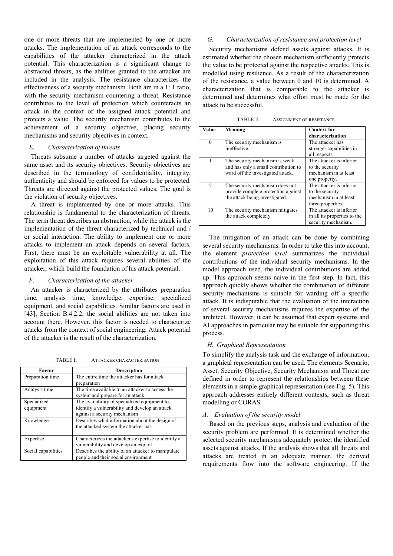one or more threats that are implemented by one or more attacks. The implementation of an attack corresponds to the capabilities of the attacker characterized in the attack potential. This characterization is a significant change to abstracted threats, as the abilities granted to the attacker are included in the analysis. The resistance characterizes the effectiveness of a security mechanism. Both are in a 1: 1 ratio, with the security mechanism countering a threat. Resistance contributes to the level of protection which counteracts an attack in the context of the assigned attack potential and protects a value. The security mechanism contributes to the achievement of a security objective, placing security mechanisms and security objectives in context.

# *E. Characterization of threats*

Threats subsume a number of attacks targeted against the same asset and its security objectives. Security objectives are described in the terminology of confidentiality, integrity, authenticity and should be enforced for values to be protected. Threats are directed against the protected values. The goal is the violation of security objectives.

A threat is implemented by one or more attacks. This relationship is fundamental to the characterization of threats. The term threat describes an abstraction, while the attack is the implementation of the threat characterized by technical and / or social interaction. The ability to implement one or more attacks to implement an attack depends on several factors. First, there must be an exploitable vulnerability at all. The exploitation of this attack requires several abilities of the attacker, which build the foundation of his attack potential.

# *F. Characterization of the attacker*

An attacker is characterized by the attributes preparation time, analysis time, knowledge, expertise, specialized equipment, and social capabilities. Similar factors are used in [43], Section B.4.2.2; the social abilities are not taken into account there. However, this factor is needed to characterize attacks from the context of social engineering. Attack potential of the attacker is the result of the characterization.

TABLE I. ATTACKER CHARACTERISATION

| Factor                   | <b>Description</b>                                                                                                             |
|--------------------------|--------------------------------------------------------------------------------------------------------------------------------|
| Preparation time         | The entire time the attacker has for attack<br>preparation                                                                     |
| Analysis time            | The time available to an attacker to access the<br>system and prepare for an attack                                            |
| Specialized<br>equipment | The availability of specialized equipment to<br>identify a vulnerability and develop an attack<br>against a security mechanism |
| Knowledge                | Describes what information about the design of<br>the attacked system the attacker has.                                        |
| Expertise                | Characterizes the attacker's expertise to identify a<br>vulnerability and develop an exploit                                   |
| Social capabilities      | Describes the ability of an attacker to manipulate<br>people and their social environment                                      |

# *G. Characterization of resistance and protection level*

Security mechanisms defend assets against attacks. It is estimated whether the chosen mechanism sufficiently protects the value to be protected against the respective attacks. This is modelled using resilience. As a result of the characterization of the resistance, a value between 0 and 10 is determined. A characterization that is comparable to the attacker is determined and determines what effort must be made for the attack to be successful.

| TABLE II. | <b>ASSIGNMENT OF RESISTANCE</b> |
|-----------|---------------------------------|
|           |                                 |

| Value        | Meaning                                                                                                     | <b>Context for</b><br>characterization                                                    |
|--------------|-------------------------------------------------------------------------------------------------------------|-------------------------------------------------------------------------------------------|
| $\mathbf{0}$ | The security mechanism is<br>ineffective.                                                                   | The attacker has<br>stronger capabilities in<br>all respects                              |
| 1            | The security mechanism is weak<br>and has only a small contribution to<br>ward off the investigated attack. | The attacker is inferior<br>to the security<br>mechanism in at least<br>one property.     |
| 5            | The security mechanism does not<br>provide complete protection against<br>the attack being investigated.    | The attacker is inferior<br>to the security<br>mechanism in at least<br>three properties. |
| 10           | The security mechanism mitigates<br>the attack completely.                                                  | The attacker is inferior<br>in all its properties to the<br>security mechanism.           |

The mitigation of an attack can be done by combining several security mechanisms. In order to take this into account, the element *protection level* summarizes the individual contributions of the individual security mechanisms. In the model approach used, the individual contributions are added up. This approach seems naive in the first step. In fact, this approach quickly shows whether the combination of different security mechanisms is suitable for warding off a specific attack. It is indisputable that the evaluation of the interaction of several security mechanisms requires the expertise of the architect. However, it can be assumed that expert systems and AI approaches in particular may be suitable for supporting this process.

#### *H. Graphical Representation*

To simplify the analysis task and the exchange of information, a graphical representation can be used. The elements Scenario, Asset, Security Objective, Security Mechanism and Threat are defined in order to represent the relationships between these elements in a simple graphical representation (see Fig. 5). This approach addresses entirely different contexts, such as threat modelling or CORAS.

#### *A. Evaluation of the security model*

Based on the previous steps, analysis and evaluation of the security problem are performed. It is determined whether the selected security mechanisms adequately protect the identified assets against attacks. If the analysis shows that all threats and attacks are treated in an adequate manner, the derived requirements flow into the software engineering. If the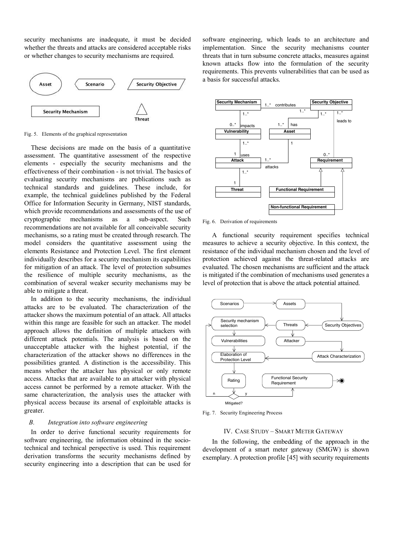security mechanisms are inadequate, it must be decided whether the threats and attacks are considered acceptable risks or whether changes to security mechanisms are required.



Fig. 5. Elements of the graphical representation

These decisions are made on the basis of a quantitative assessment. The quantitative assessment of the respective elements - especially the security mechanisms and the effectiveness of their combination - is not trivial. The basics of evaluating security mechanisms are publications such as technical standards and guidelines. These include, for example, the technical guidelines published by the Federal Office for Information Security in Germany, NIST standards, which provide recommendations and assessments of the use of cryptographic mechanisms as a sub-aspect. Such recommendations are not available for all conceivable security mechanisms, so a rating must be created through research. The model considers the quantitative assessment using the elements Resistance and Protection Level. The first element individually describes for a security mechanism its capabilities for mitigation of an attack. The level of protection subsumes the resilience of multiple security mechanisms, as the combination of several weaker security mechanisms may be able to mitigate a threat.

In addition to the security mechanisms, the individual attacks are to be evaluated. The characterization of the attacker shows the maximum potential of an attack. All attacks within this range are feasible for such an attacker. The model approach allows the definition of multiple attackers with different attack potentials. The analysis is based on the unacceptable attacker with the highest potential, if the characterization of the attacker shows no differences in the possibilities granted. A distinction is the accessibility. This means whether the attacker has physical or only remote access. Attacks that are available to an attacker with physical access cannot be performed by a remote attacker. With the same characterization, the analysis uses the attacker with physical access because its arsenal of exploitable attacks is greater.

# *B. Integration into software engineering*

In order to derive functional security requirements for software engineering, the information obtained in the sociotechnical and technical perspective is used. This requirement derivation transforms the security mechanisms defined by security engineering into a description that can be used for

software engineering, which leads to an architecture and implementation. Since the security mechanisms counter threats that in turn subsume concrete attacks, measures against known attacks flow into the formulation of the security requirements. This prevents vulnerabilities that can be used as a basis for successful attacks.



Fig. 6. Derivation of requirements

A functional security requirement specifies technical measures to achieve a security objective. In this context, the resistance of the individual mechanism chosen and the level of protection achieved against the threat-related attacks are evaluated. The chosen mechanisms are sufficient and the attack is mitigated if the combination of mechanisms used generates a level of protection that is above the attack potential attained.



Fig. 7. Security Engineering Process

# IV. CASE STUDY – SMART METER GATEWAY

In the following, the embedding of the approach in the development of a smart meter gateway (SMGW) is shown exemplary. A protection profile [45] with security requirements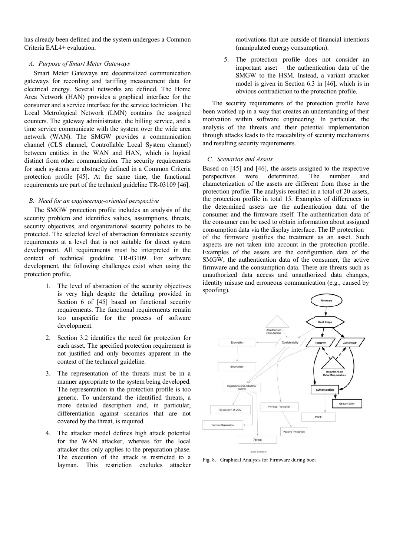has already been defined and the system undergoes a Common Criteria EAL4+ evaluation.

# *A. Purpose of Smart Meter Gateways*

Smart Meter Gateways are decentralized communication gateways for recording and tariffing measurement data for electrical energy. Several networks are defined. The Home Area Network (HAN) provides a graphical interface for the consumer and a service interface for the service technician. The Local Metrological Network (LMN) contains the assigned counters. The gateway administrator, the billing service, and a time service communicate with the system over the wide area network (WAN). The SMGW provides a communication channel (CLS channel, Controllable Local System channel) between entities in the WAN and HAN, which is logical distinct from other communication. The security requirements for such systems are abstractly defined in a Common Criteria protection profile [45]. At the same time, the functional requirements are part of the technical guideline TR-03109 [46].

# *B. Need for an engineering-oriented perspective*

The SMGW protection profile includes an analysis of the security problem and identifies values, assumptions, threats, security objectives, and organizational security policies to be protected. The selected level of abstraction formulates security requirements at a level that is not suitable for direct system development. All requirements must be interpreted in the context of technical guideline TR-03109. For software development, the following challenges exist when using the protection profile.

- 1. The level of abstraction of the security objectives is very high despite the detailing provided in Section 6 of [45] based on functional security requirements. The functional requirements remain too unspecific for the process of software development.
- 2. Section 3.2 identifies the need for protection for each asset. The specified protection requirement is not justified and only becomes apparent in the context of the technical guideline.
- 3. The representation of the threats must be in a manner appropriate to the system being developed. The representation in the protection profile is too generic. To understand the identified threats, a more detailed description and, in particular, differentiation against scenarios that are not covered by the threat, is required.
- 4. The attacker model defines high attack potential for the WAN attacker, whereas for the local attacker this only applies to the preparation phase. The execution of the attack is restricted to a layman. This restriction excludes attacker

motivations that are outside of financial intentions (manipulated energy consumption).

5. The protection profile does not consider an important asset – the authentication data of the SMGW to the HSM. Instead, a variant attacker model is given in Section 6.3 in [46], which is in obvious contradiction to the protection profile.

The security requirements of the protection profile have been worked up in a way that creates an understanding of their motivation within software engineering. In particular, the analysis of the threats and their potential implementation through attacks leads to the traceability of security mechanisms and resulting security requirements.

#### *C. Scenarios and Assets*

Based on [45] and [46], the assets assigned to the respective perspectives were determined. The number and characterization of the assets are different from those in the protection profile. The analysis resulted in a total of 20 assets, the protection profile in total 15. Examples of differences in the determined assets are the authentication data of the consumer and the firmware itself. The authentication data of the consumer can be used to obtain information about assigned consumption data via the display interface. The IP protection of the firmware justifies the treatment as an asset. Such aspects are not taken into account in the protection profile. Examples of the assets are the configuration data of the SMGW, the authentication data of the consumer, the active firmware and the consumption data. There are threats such as unauthorized data access and unauthorized data changes, identity misuse and erroneous communication (e.g., caused by spoofing).



Fig. 8. Graphical Analysis for Firmware during boot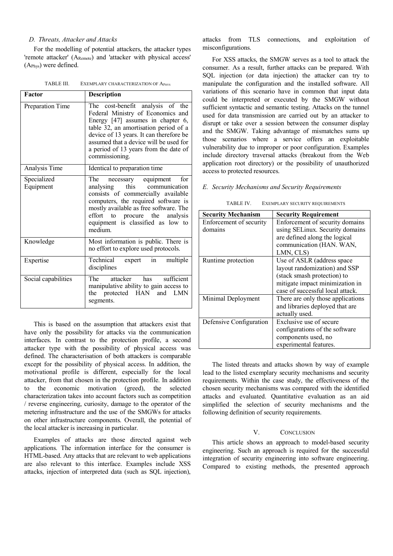# *D. Threats, Attacker and Attacks*

For the modelling of potential attackers, the attacker types 'remote attacker' (ARemote) and 'attacker with physical access' (APhys) were defined.

| Factor                   | <b>Description</b>                                                                                                                                                                                                                                                                                    |
|--------------------------|-------------------------------------------------------------------------------------------------------------------------------------------------------------------------------------------------------------------------------------------------------------------------------------------------------|
| Preparation Time         | The cost-benefit analysis of the<br>Federal Ministry of Economics and<br>Energy $[47]$ assumes in chapter 6,<br>table 32, an amortisation period of a<br>device of 13 years. It can therefore be<br>assumed that a device will be used for<br>a period of 13 years from the date of<br>commissioning. |
| Analysis Time            | Identical to preparation time                                                                                                                                                                                                                                                                         |
| Specialized<br>Equipment | The<br>necessary equipment<br>for<br>this<br>communication<br>analysing<br>consists of commercially available<br>computers, the required software is<br>mostly available as free software. The<br>effort to procure the analysis<br>equipment is classified as low to<br>medium                       |
| Knowledge                | Most information is public. There is<br>no effort to explore used protocols.                                                                                                                                                                                                                          |
| Expertise                | $\overline{\text{in}}$<br>Technical<br>multiple<br>expert<br>disciplines                                                                                                                                                                                                                              |
| Social capabilities      | The attacker has sufficient<br>manipulative ability to gain access to<br>protected HAN and<br>the<br>LMN<br>segments.                                                                                                                                                                                 |

TABLE III. EXEMPLARY CHARACTERIZATION OF A<sup>P</sup>HYS

This is based on the assumption that attackers exist that have only the possibility for attacks via the communication interfaces. In contrast to the protection profile, a second attacker type with the possibility of physical access was defined. The characterisation of both attackers is comparable except for the possibility of physical access. In addition, the motivational profile is different, especially for the local attacker, from that chosen in the protection profile. In addition to the economic motivation (greed), the selected characterization takes into account factors such as competition / reverse engineering, curiosity, damage to the operator of the metering infrastructure and the use of the SMGWs for attacks on other infrastructure components. Overall, the potential of the local attacker is increasing in particular.

Examples of attacks are those directed against web applications. The information interface for the consumer is HTML-based. Any attacks that are relevant to web applications are also relevant to this interface. Examples include XSS attacks, injection of interpreted data (such as SQL injection),

attacks from TLS connections, and exploitation of misconfigurations.

For XSS attacks, the SMGW serves as a tool to attack the consumer. As a result, further attacks can be prepared. With SQL injection (or data injection) the attacker can try to manipulate the configuration and the installed software. All variations of this scenario have in common that input data could be interpreted or executed by the SMGW without sufficient syntactic and semantic testing. Attacks on the tunnel used for data transmission are carried out by an attacker to disrupt or take over a session between the consumer display and the SMGW. Taking advantage of mismatches sums up those scenarios where a service offers an exploitable vulnerability due to improper or poor configuration. Examples include directory traversal attacks (breakout from the Web application root directory) or the possibility of unauthorized access to protected resources.

#### *E. Security Mechanisms and Security Requirements*

TABLE IV. EXEMPLARY SECURITY REQUIREMENTS

| <b>Security Mechanism</b> | <b>Security Requirement</b>       |
|---------------------------|-----------------------------------|
| Enforcement of security   | Enforcement of security domains   |
| domains                   | using SELinux. Security domains   |
|                           | are defined along the logical     |
|                           | communication (HAN. WAN,          |
|                           | LMN, CLS)                         |
| Runtime protection        | Use of ASLR (address space)       |
|                           | layout randomization) and SSP     |
|                           | (stack smash protection) to       |
|                           | mitigate impact minimization in   |
|                           | case of successful local attack.  |
| Minimal Deployment        | There are only those applications |
|                           | and libraries deployed that are   |
|                           | actually used.                    |
| Defensive Configuration   | Exclusive use of secure           |
|                           | configurations of the software    |
|                           | components used, no               |
|                           | experimental features.            |

The listed threats and attacks shown by way of example lead to the listed exemplary security mechanisms and security requirements. Within the case study, the effectiveness of the chosen security mechanisms was compared with the identified attacks and evaluated. Quantitative evaluation as an aid simplified the selection of security mechanisms and the following definition of security requirements.

## V. CONCLUSION

This article shows an approach to model-based security engineering. Such an approach is required for the successful integration of security engineering into software engineering. Compared to existing methods, the presented approach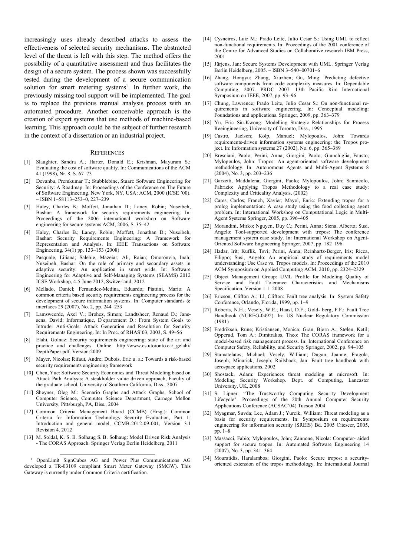increasingly uses already described attacks to assess the effectiveness of selected security mechanisms. The abstracted level of the threat is left with this step. The method offers the possibility of a quantitative assessment and thus facilitates the design of a secure system. The process shown was successfully tested during the development of a secure communication solution for smart metering systems<sup>1</sup>. In further work, the previously missing tool support will be implemented. The goal is to replace the previous manual analysis process with an automated procedure. Another conceivable approach is the creation of expert systems that use methods of machine-based learning. This approach could be the subject of further research in the context of a dissertation or an industrial project.

#### **REFERENCES**

- [1] Slaughter, Sandra A.; Harter, Donald E.; Krishnan, Mayuram S.: Evaluating the cost of software quality. In: Communications of the ACM 41 (1998), Nr. 8, S. 67–73
- [2] Devanbu, Premkumar T.; Stubblebine, Stuart: Software Engineering for Security: A Roadmap. In: Proceedings of the Conference on The Future of Software Engineering. New York, NY, USA: ACM, 2000 (ICSE '00). – ISBN 1–58113–253–0, 227–239
- [3] Haley, Charles B.; Moffett, Jonathan D.; Laney, Robin; Nuseibeh, Bashar: A framework for security requirements engineering. In: Proceedings of the 2006 international workshop on Software engineering for secure systems ACM, 2006, S. 35–42
- [4] Haley, Charles B.; Laney, Robin; Moffett, Jonathan D.; Nuseibeh, Bashar: Security Requirements Engineering: A Framework for Representation and Analysis. In: IEEE Transactions on Software Engineering, 34(1) pp. 133–153 (2008)
- [5] Pasquale, Liliana; Salehie, Mazeiar; Ali, Raian; Omoronvia, Inah; Nuseibeh, Bashar: On the role of primary and secondary assets in adaptive security: An application in smart grids. In: Software Engineering for Adaptive and Self-Managing Systems (SEAMS) 2012 ICSE Workshop, 4-5 June 2012, Switzerland, 2012
- [6] Mellado, Daniel; Fernandez-Medina, Eduardo; Piattini, Mario: A common criteria based security requirements engineering process for the development of secure information systems. In: Computer standards & interfaces 29 (2007), No. 2, pp. 244–253
- [7] Lamsweerde, Axel V.; Brohez, Simon; Landtsheer, Renaud D.; Janssens, David; Informatique, D'epartement D.: From System Goals to Intruder Anti-Goals: Attack Generation and Resolution for Security Requirements Engineering. In: In Proc. of RHAS'03, 2003, S. 49–56
- [8] Elahi, Golnaz: Security requirements engineering: state of the art and practice and challenges. Online. http://www.cs.utoronto.ca/\_gelahi/ DepthPaper.pdf. Version:2009
- [9] Mayer, Nicolas; Rifaut, Andre; Dubois, Eric u. a.: Towards a risk-based security requirements engineering framework
- [10] Chen, Yue: Software Security Economics and Threat Modeling based on Attack Path Analysis; A steakholder value driven approach, Faculty of the graduate school, University of Southern California, Diss., 2007
- [11] Sheyner, Oleg M.: Scenario Graphs and Attack Graphs, School of Computer Science, Computer Science Department, Carnege Mellon University, Pittsburgh, PA, Diss., 2004
- [12] Common Criteria Management Board (CCMB) (Hrsg.): Common Criteria for Information Technology Security Evaluation, Part 1: Introduction and general model, CCMB-2012-09-001, Version 3.1 Revision 4. 2012
- [13] M. Soldal, K. S. B. Solhaug S. B. Solhaug: Model Driven Risk Analysis - The CORAS Approach. Springer Verlag Berlin Heidelberg, 2011

-

- [14] Cysneiros, Luiz M.; Prado Leite, Julio Cesar S.: Using UML to reflect non-functional requirements. In: Proceedings of the 2001 conference of the Centre for Advanced Studies on Collaborative research IBM Press, 2001
- [15] Jürjens, Jan: Secure Systems Development with UML. Springer Verlag Berlin Heidelberg, 2005. – ISBN 3–540–00701–6
- [16] Zhang, Hongyu; Zhang, Xiuzhen; Gu, Ming: Predicting defective software components from code complexity measures. In: Dependable Computing, 2007. PRDC 2007. 13th Pacific Rim International Symposium on IEEE, 2007, pp. 93–96
- [17] Chung, Lawrence; Prado Leite, Julio Cesar S.: On non-functional requirements in software engineering. In: Conceptual modeling: Foundations and applications. Springer, 2009, pp. 363–379
- [18] Yu, Eric Siu-Kwong: Modelling Strategic Relationships for Process Reeingineering, University of Toronto, Diss., 1995
- [19] Castro, Jaelson; Kolp, Manuel; Mylopoulos, John: Towards requirements-driven information systems engineering: the Tropos project. In: Information systems 27 (2002), No. 6, pp. 365–389
- [20] Bresciani, Paolo; Perini, Anna; Giorgini, Paolo; Giunchiglia, Fausto; Mylopoulos, John: Tropos: An agent-oriented software development methodology. In: Autonomous Agents and Multi-Agent Systems 8 (2004), No. 3, pp. 203–236
- [21] Garzetti, Maddalena; Giorgini, Paolo; Mylopoulos, John; Sannicolo, Fabrizio: Applying Tropos Methodology to a real case study: Complexity and Criticality Analysis. (2002)
- [22] Cares, Carlos: Franch, Xavier; Mayol, Enric: Extending tropos for a prolog implementation: A case study using the food collecting agent problem. In: International Workshop on Computational Logic in Multi-Agent Systems Springer, 2005, pp. 396–405
- [23] Morandini, Mirko; Nguyen, Duy C.; Perini, Anna; Siena, Alberto; Susi, Angelo: Tool-supported development with tropos: The conference management system case study. In: International Workshop on Agent-Oriented Software Engineering Springer, 2007, pp. 182–196
- [24] Hadar, Irit; Kuflik, Tsvi; Perini, Anna; Reinhartz-Berger, Iris; Ricca, Filippo; Susi, Angelo: An empirical study of requirements model understanding: Use Case vs. Tropos models. In: Proceedings of the 2010 ACM Symposium on Applied Computing ACM, 2010, pp. 2324–2329
- [25] Object Management Group: UML Profile for Modeling Quality of Service and Fault Tolerance Characteristics and Mechanisms Specification, Version 1.1. 2008
- [26] Ericson, Clifton A.; Ll, Clifton: Fault tree analysis. In: System Safety Conference, Orlando, Florida, 1999, pp. 1–9
- [27] Roberts, N.H.; Vesely, W.E.; Haasl, D.F.; Gold- berg, F.F.: Fault Tree Handbook (NUREG-0492). In: US Nuclear Regulatory Commission (1981)
- [28] Fredriksen, Rune; Kristiansen, Monica; Gran, Bjørn A.; Stølen, Ketil; Opperud, Tom A.; Dimitrakos, Theo: The CORAS framework for a model-based risk management process. In: International Conference on Computer Safety, Reliability, and Security Springer, 2002, pp. 94–105
- [29] Stamatelatos, Michael; Vesely, William; Dugan, Joanne; Fragola, Joseph; Minarick, Joseph; Railsback, Jan: Fault tree handbook with aerospace applications. 2002
- [30] Shostack, Adam: Experiences threat modeling at microsoft. In: Modeling Security Workshop. Dept. of Computing, Lancaster University, UK, 2008
- [31] S. Lipner: "The Trustworthy Computing Security Development Lifecycle". Proceedings of the 20th Annual Computer Security Applications Conference (ACSAC'04) Tucson 2004
- [32] Myagmar, Suvda; Lee, Adam J.; Yurcik, William: Threat modeling as a basis for security requirements. In: Symposium on requirements engineering for information security (SREIS) Bd. 2005 Citeseer, 2005, pp. 1–8
- [33] Massacci, Fabio; Mylopoulos, John; Zannone, Nicola: Computer- aided support for secure tropos. In: Automated Software Engineering 14 (2007), No. 3, pp. 341–364
- [34] Mouratidis, Haralambos; Giorgini, Paolo: Secure tropos: a securityoriented extension of the tropos methodology. In: International Journal

<sup>1</sup> OpenLimit SignCubes AG and Power Plus Communications AG developed a TR-03109 compliant Smart Meter Gateway (SMGW). This Gateway is currently under Common Criteria certification.